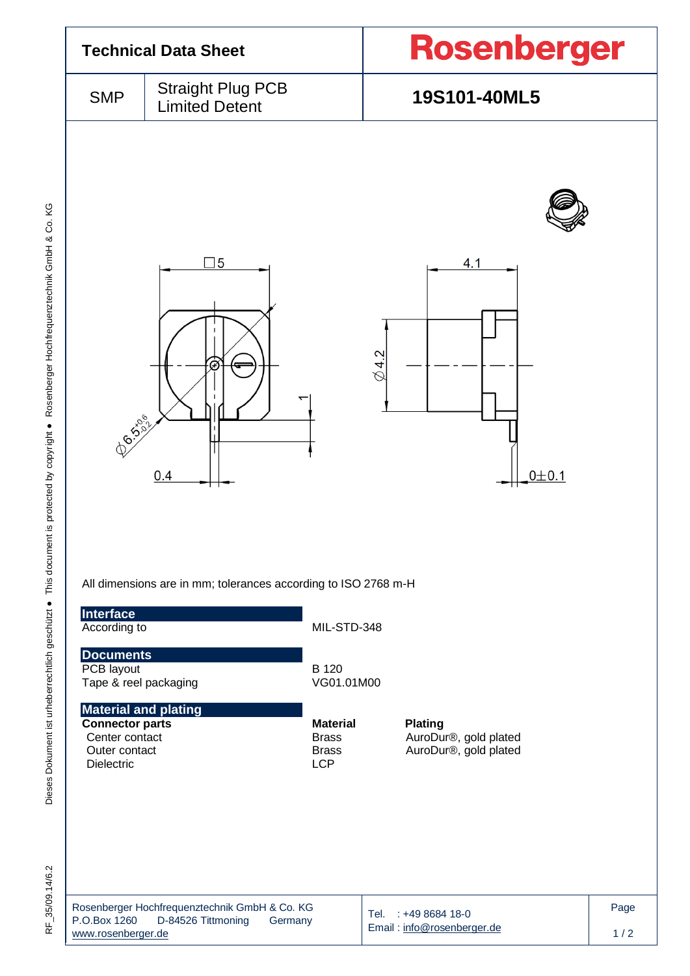

RF 35/09.14/6.2